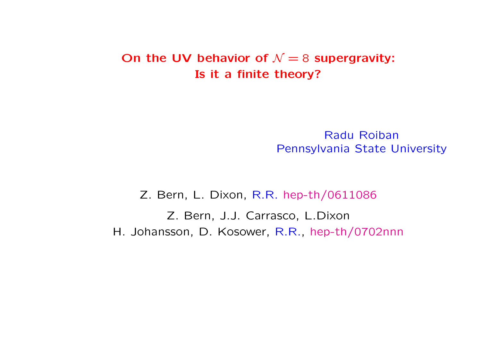## On the UV behavior of  $\mathcal{N}=8$  supergravity: Is it a finite theory?

Radu Roiban Pennsylvania State University

Z. Bern, L. Dixon, R.R. hep-th/0611086

Z. Bern, J.J. Carrasco, L.Dixon H. Johansson, D. Kosower, R.R., hep-th/0702nnn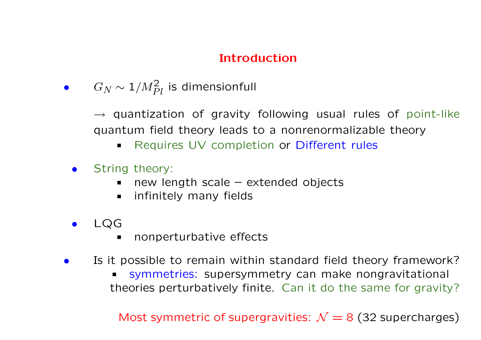# Introduction

 $\bullet \qquad G_N \sim 1/M_{Pl}^2$  is dimensionfull

 $\rightarrow$  quantization of gravity following usual rules of point-like quantum field theory leads to a nonrenormalizable theory

- Requires UV completion or Different rules  $\blacksquare$
- **•** String theory:
	- new length scale extended objects  $\blacksquare$
	- infinitely many fields  $\blacksquare$
- LQG
	- nonperturbative effects  $\blacksquare$
- Is it possible to remain within standard field theory framework?
	- symmetries: supersymmetry can make nongravitational  $\blacksquare$ theories perturbatively finite. Can it do the same for gravity?

Most symmetric of supergravities:  $\mathcal{N} = 8$  (32 supercharges)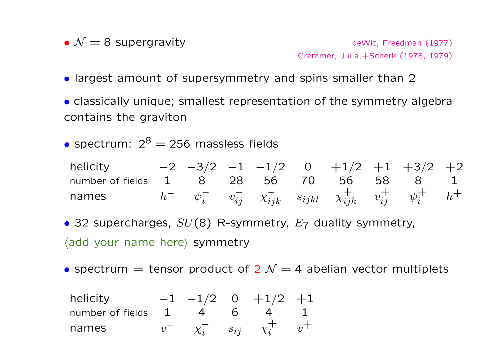•  $\mathcal{N}=8$  Supergravity deWit, Freedman (1977)

Cremmer, Julia,+Scherk (1978, 1979)

- largest amount of supersymmetry and spins smaller than 2
- classically unique; smallest representation of the symmetry algebra contains the graviton
- spectrum:  $2^8 = 256$  massless fields

helicity  $-2$   $-3/2$   $-1$   $-1/2$  0  $+1/2$   $+1$   $+3/2$   $+2$ number of fields 1 8 28 56 70 56 58 8 1 names  $h^ \psi_i^ \overline{i}$   $v_{ij}^ \chi_{ijk}^ s_{ijkl}$   $\chi_{ijk}^+$   $v_{ij}^+$   $\psi_i^+$  $\frac{1}{i}$   $h^+$ 

- 32 supercharges,  $SU(8)$  R-symmetry,  $E_7$  duality symmetry,  $\langle$  add your name here $\rangle$  symmetry
- spectrum  $=$  tensor product of 2  $\mathcal{N}=4$  abelian vector multiplets

helicity

\n
$$
\begin{array}{cccccc}\n-1 & -1/2 & 0 & +1/2 & +1 \\
\text{number of fields} & 1 & 4 & 6 & 4 & 1 \\
v^- & x_i^- & s_{ij} & x_i^+ & v^+ \\
\end{array}
$$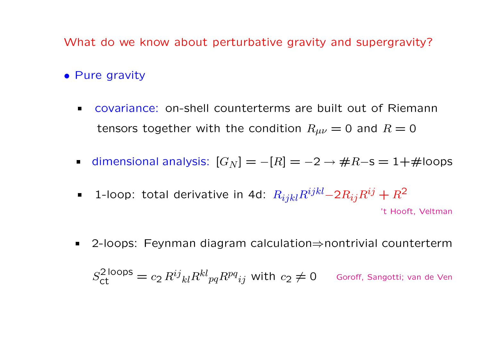What do we know about perturbative gravity and supergravity?

- Pure gravity
	- covariance: on-shell counterterms are built out of Riemann  $\blacksquare$ tensors together with the condition  $R_{\mu\nu} = 0$  and  $R = 0$
	- dimensional analysis:  $[G_N] = -[R] = -2 \rightarrow \#R$ -s = 1+#loops
	- 1-loop: total derivative in 4d:  $R_{ijkl}R^{ijkl}-2R_{ij}R^{ij}+R^2$  $\blacksquare$  . 't Hooft, Veltman
	- 2-loops: Feynman diagram calculation⇒nontrivial counterterm  $\blacksquare$  $S_{\textsf{ct}}^{2\,\textsf{loops}}=c_2\,R^{ij}{}_{kl}R^{kl}{}_{pq}R^{pq}{}_{ij}$  with  $c_2\neq 0$  Goroff, Sangotti; van de Ven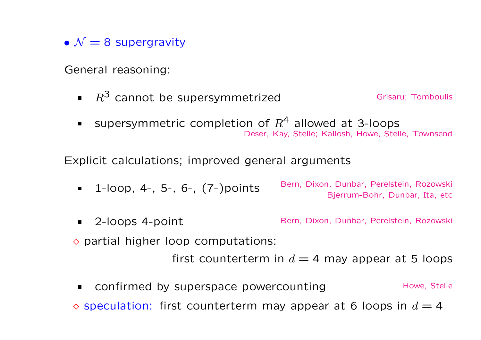•  $\mathcal{N} = 8$  supergravity

General reasoning:

- **R**<sup>3</sup> cannot be supersymmetrized Grisaru; Tomboulis
- supersymmetric completion of  $R^4$  allowed at 3-loops Deser, Kay, Stelle; Kallosh, Howe, Stelle, Townsend

Explicit calculations; improved general arguments

- 1-loop, 4-, 5-, 6-, (7-)points Bern, Dixon, Dunbar, Perelstein, Rozowski Bjerrum-Bohr, Dunbar, Ita, etc
- 2-loops 4-point **Bern, Dixon, Dunbar, Perelstein, Rozowski**  $\Diamond$  partial higher loop computations:

first counterterm in  $d = 4$  may appear at 5 loops

confirmed by superspace powercounting Howe, Stelle  $\blacksquare$  $\circ$  speculation: first counterterm may appear at 6 loops in  $d = 4$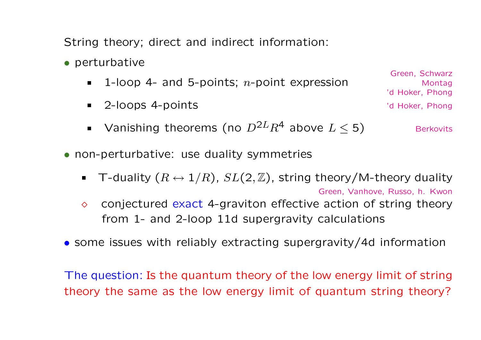String theory; direct and indirect information:

- perturbative
	- 1-loop 4- and 5-points;  $n$ -point expression  $\blacksquare$
	- 2-loops 4-points 'd Hoker, Phong  $\blacksquare$
	- Vanishing theorems (no  $D^{2L}R^4$  above  $L \leq 5$ ) Berkovits  $\blacksquare$
- non-perturbative: use duality symmetries
	- **T**-duality  $(R \leftrightarrow 1/R)$ ,  $SL(2, \mathbb{Z})$ , string theory/M-theory duality Green, Vanhove, Russo, h. Kwon
	- $\Diamond$  conjectured exact 4-graviton effective action of string theory from 1- and 2-loop 11d supergravity calculations
- some issues with reliably extracting supergravity/4d information

The question: Is the quantum theory of the low energy limit of string theory the same as the low energy limit of quantum string theory?

Green, Schwarz Montag 'd Hoker, Phong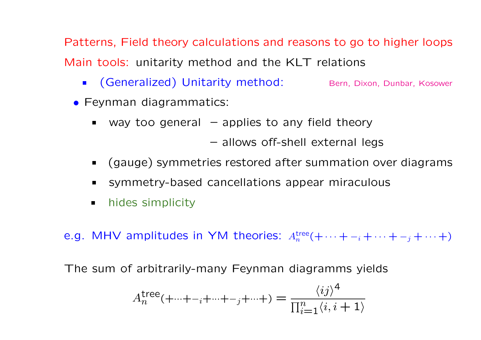Patterns, Field theory calculations and reasons to go to higher loops Main tools: unitarity method and the KLT relations

- **Generalized) Unitarity method:** Bern, Dixon, Dunbar, Kosower
- Feynman diagrammatics:
	- way too general  $-$  applies to any field theory  $\blacksquare$

– allows off-shell external legs

- (gauge) symmetries restored after summation over diagrams  $\blacksquare$
- symmetry-based cancellations appear miraculous  $\blacksquare$
- hides simplicity  $\blacksquare$

e.g. MHV amplitudes in YM theories:  $A_n^{\text{tree}}(+ \cdots + -i + \cdots + -j + \cdots +)$ 

The sum of arbitrarily-many Feynman diagramms yields

$$
A_n^{\text{tree}}(+\cdots + -i + \cdots + -j + \cdots + ) = \frac{\langle ij \rangle^4}{\prod_{i=1}^n \langle i, i+1 \rangle}
$$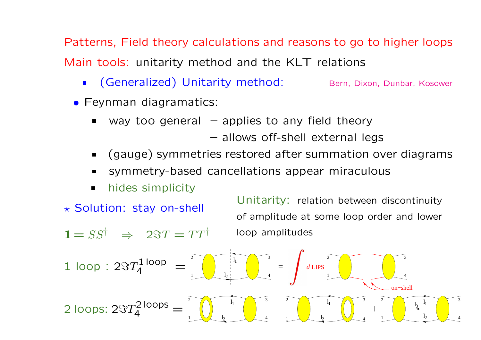Patterns, Field theory calculations and reasons to go to higher loops Main tools: unitarity method and the KLT relations

- (Generalized) Unitarity method: Bern, Dixon, Dunbar, Kosower
- Feynman diagramatics:
	- way too general  $-$  applies to any field theory  $\blacksquare$ 
		- allows off-shell external legs

Unitarity: relation between discontinuity

- (gauge) symmetries restored after summation over diagrams  $\blacksquare$
- symmetry-based cancellations appear miraculous  $\blacksquare$
- hides simplicity  $\blacksquare$

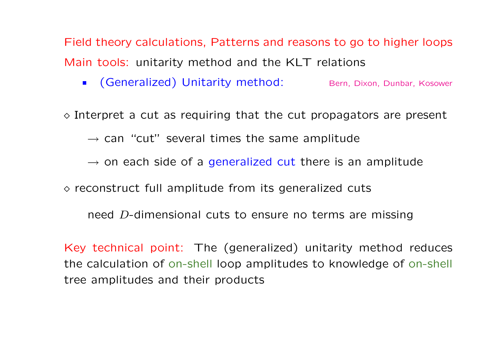Field theory calculations, Patterns and reasons to go to higher loops Main tools: unitarity method and the KLT relations

**Generalized) Unitarity method:** Bern, Dixon, Dunbar, Kosower

 $\Diamond$  Interpret a cut as requiring that the cut propagators are present

 $\rightarrow$  can "cut" several times the same amplitude

- $\rightarrow$  on each side of a generalized cut there is an amplitude
- $\Diamond$  reconstruct full amplitude from its generalized cuts

need D-dimensional cuts to ensure no terms are missing

Key technical point: The (generalized) unitarity method reduces the calculation of on-shell loop amplitudes to knowledge of on-shell tree amplitudes and their products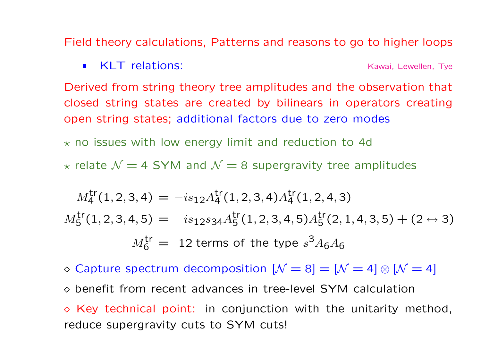Field theory calculations, Patterns and reasons to go to higher loops

**KLT relations:** Kawai, Lewellen, Tye

Derived from string theory tree amplitudes and the observation that closed string states are created by bilinears in operators creating open string states; additional factors due to zero modes

 $\star$  no issues with low energy limit and reduction to 4d

 $\star$  relate  $\mathcal{N} = 4$  SYM and  $\mathcal{N} = 8$  supergravity tree amplitudes

$$
M_4^{\text{tr}}(1,2,3,4) = -is_{12}A_4^{\text{tr}}(1,2,3,4)A_4^{\text{tr}}(1,2,4,3)
$$
  
\n
$$
M_5^{\text{tr}}(1,2,3,4,5) = is_{12}s_{34}A_5^{\text{tr}}(1,2,3,4,5)A_5^{\text{tr}}(2,1,4,3,5) + (2 \leftrightarrow 3)
$$
  
\n
$$
M_6^{\text{tr}} = 12 \text{ terms of the type } s^3A_6A_6
$$

◇ Capture spectrum decomposition  $[N = 8] = [N = 4] \otimes [N = 4]$  $\Diamond$  benefit from recent advances in tree-level SYM calculation  $\Diamond$  Key technical point: in conjunction with the unitarity method, reduce supergravity cuts to SYM cuts!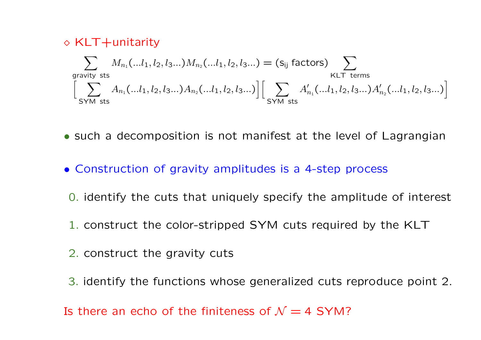$$
\diamond \text{ KLT} + \text{unitarity}
$$
\n
$$
\sum_{\text{gravity sets}} M_{n_1}(...l_1, l_2, l_3...) M_{n_2}(...l_1, l_2, l_3...) = (s_{ij} \text{ factors}) \sum_{\text{KLT terms}} K_{\text{LT terms}} \text{ terms}
$$
\n
$$
\left[ \sum_{\text{SYM sets}} A_{n_1}(...l_1, l_2, l_3...) A_{n_2}(...l_1, l_2, l_3...) \right] \left[ \sum_{\text{SYM sets}} A'_{n_1}(...l_1, l_2, l_3...) A'_{n_2}(...l_1, l_2, l_3...) \right]
$$

- such a decomposition is not manifest at the level of Lagrangian
- Construction of gravity amplitudes is a 4-step process
- 0. identify the cuts that uniquely specify the amplitude of interest
- 1. construct the color-stripped SYM cuts required by the KLT
- 2. construct the gravity cuts
- 3. identify the functions whose generalized cuts reproduce point 2.

Is there an echo of the finiteness of  $\mathcal{N}=4$  SYM?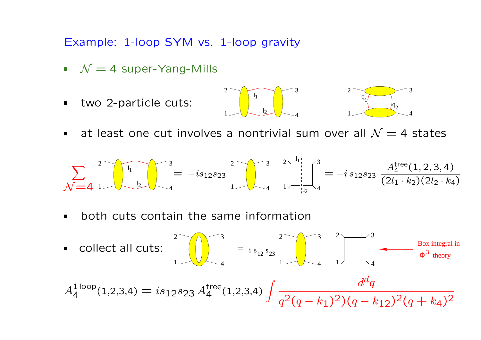Example: 1-loop SYM vs. 1-loop gravity

- $N = 4$  super-Yang-Mills
- two 2-particle cuts:



at least one cut involves a nontrivial sum over all  $\mathcal{N}=4$  states

$$
\sum_{N=4}^{2} \sqrt{\left(\frac{1}{1} \cdot \frac{1}{1} - i s_{12} s_{23}}\right)^2} = -is_{12} s_{23} \sqrt{\left(\frac{3}{1} \cdot \frac{1}{1} - i s_{12} s_{23}}\right)^2} = -is_{12} s_{23} \sqrt{\frac{A_4^{\text{tree}}(1,2,3,4)}{(2l_1 \cdot k_2)(2l_2 \cdot k_4)}}
$$

both cuts contain the same information

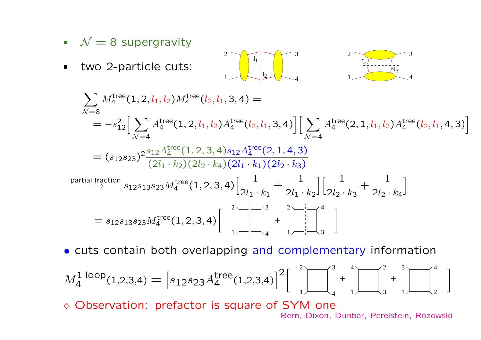- $N = 8$  supergravity
- two 2-particle cuts:  $\blacksquare$



$$
\sum_{N=8} M_4^{\text{tree}}(1, 2, l_1, l_2) M_4^{\text{tree}}(l_2, l_1, 3, 4) =
$$
\n
$$
= -s_{12}^2 \Big[ \sum_{N=4} A_4^{\text{tree}}(1, 2, l_1, l_2) A_4^{\text{tree}}(l_2, l_1, 3, 4) \Big] \Big[ \sum_{N=4} A_4^{\text{tree}}(2, 1, l_1, l_2) A_4^{\text{tree}}(l_2, l_1, 4, 3) \Big]
$$
\n
$$
= (s_{12}s_{23})^2 \frac{s_{12} A_4^{\text{tree}}(1, 2, 3, 4) s_{12} A_4^{\text{tree}}(2, 1, 4, 3)}{(2l_1 \cdot k_2)(2l_2 \cdot k_4)(2l_1 \cdot k_1)(2l_2 \cdot k_3)}
$$
\npartial 
$$
S_{12}s_{13}s_{23} M_4^{\text{tree}}(1, 2, 3, 4) \Big[ \frac{1}{2l_1 \cdot k_1} + \frac{1}{2l_1 \cdot k_2} \Big] \Big[ \frac{1}{2l_2 \cdot k_3} + \frac{1}{2l_2 \cdot k_4} \Big]
$$
\n
$$
= s_{12}s_{13}s_{23} M_4^{\text{tree}}(1, 2, 3, 4) \Big[ \prod_{1 \neq 1}^{2} \Big] \Big[ \prod_{1 \neq 1}^{3} + \prod_{1 \neq 2}^{2} \Big] \Big[ \prod_{1 \neq 3}^{4} \Big]
$$

• cuts contain both overlapping and complementary information

$$
M_4^1 \text{loop}_{(1,2,3,4)} = \left[ s_{12} s_{23} A_4^{\text{tree}}(1,2,3,4) \right]^2 \left[ \begin{array}{c} 2 \\ 1 \end{array} + \left[ \begin{array}{c} 3 & 4 \\ 1 & 1 \end{array} \right] \left[ \begin{array}{c} 2 & 3 \\ 3 & 1 \end{array} \right] \left[ \begin{array}{c} 4 & 1 \\ 2 & 1 \end{array} \right] \right]
$$

¦ Observation: prefactor is square of SYM one

Bern, Dixon, Dunbar, Perelstein, Rozowski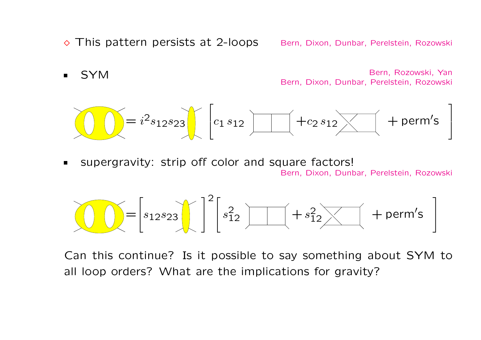◇ This pattern persists at 2-loops Bern, Dixon, Dunbar, Perelstein, Rozowski

■ SYM Bern, Rozowski, Yan Bern, Dixon, Dunbar, Perelstein, Rozowski

$$
\bigodot \bigodot = i^2 s_{12} s_{23} \bigodot \bigodot c_{1} s_{12} \bigodot + c_{2} s_{12} \bigodot + \text{perm's}
$$

supergravity: strip off color and square factors!  $\blacksquare$ Bern, Dixon, Dunbar, Perelstein, Rozowski

$$
\widehat{\bigcup_{i=1}^{n}} = \left[s_{12}s_{23}\bigg\lfloor \bigg\lfloor \bigg\lfloor s_{12}^2 \bigg\rfloor \bigg\lfloor \bigg\lfloor \bigg\lfloor + s_{12}^2 \bigg\rfloor \bigg\lfloor \bigg\lfloor + \text{perm's} \bigg\rfloor \bigg\rfloor \right]
$$

Can this continue? Is it possible to say something about SYM to all loop orders? What are the implications for gravity?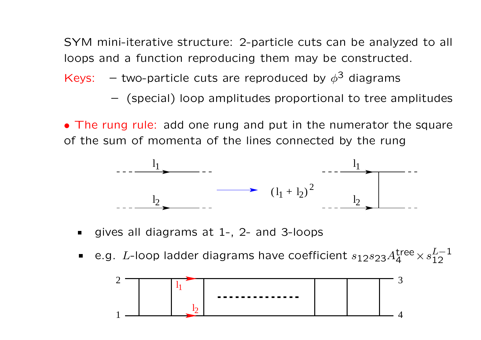SYM mini-iterative structure: 2-particle cuts can be analyzed to all loops and a function reproducing them may be constructed.

Keys:  $-$  two-particle cuts are reproduced by  $\phi^3$  diagrams

– (special) loop amplitudes proportional to tree amplitudes

• The rung rule: add one rung and put in the numerator the square of the sum of momenta of the lines connected by the rung



- gives all diagrams at 1-, 2- and 3-loops
- e.g. L-loop ladder diagrams have coefficient  $s_{12}s_{23}A_4^{\rm tree}\times s_{12}^{L-1}$  $\blacksquare$ 12

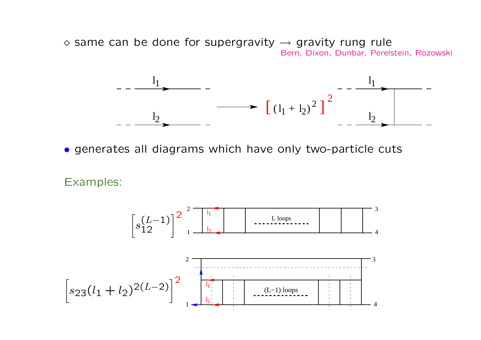$\Diamond$  same can be done for supergravity  $\rightarrow$  gravity rung rule Bern, Dixon, Dunbar, Perelstein, Rozowski



• generates all diagrams which have only two-particle cuts

Examples:

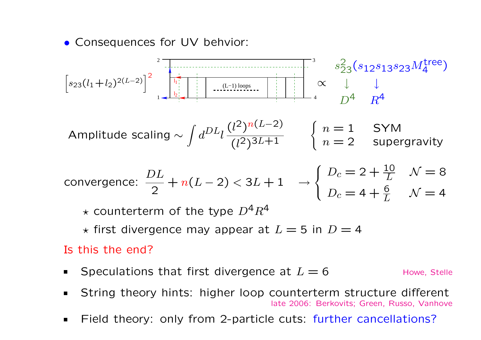• Consequences for UV behvior:

$$
\left[s_{23}(l_1+l_2)^{2(L-2)}\right]^2 \left[\begin{array}{c|c}\n\frac{1}{l_1!} & \frac{1}{l_2!} \\
\frac{1}{l_2!} & \frac{1}{l_1!} \\
\frac{1}{l_2!} & \frac{1}{l_2!} \\
\frac{1}{l_2!} & \frac{1}{l_2!} \\
\frac{1}{l_2!} & \frac{1}{l_2!} \\
\frac{1}{l_2!} & \frac{1}{l_2!} \\
\frac{1}{l_2!} & \frac{1}{l_2!} \\
\frac{1}{l_2!} & \frac{1}{l_2!} \\
\frac{1}{l_2!} & \frac{1}{l_2!} \\
\frac{1}{l_2!} & \frac{1}{l_2!} \\
\frac{1}{l_2!} & \frac{1}{l_2!} \\
\frac{1}{l_2!} & \frac{1}{l_2!} \\
\frac{1}{l_2!} & \frac{1}{l_2!} \\
\frac{1}{l_2!} & \frac{1}{l_2!} \\
\frac{1}{l_2!} & \frac{1}{l_2!} \\
\frac{1}{l_2!} & \frac{1}{l_2!} \\
\frac{1}{l_2!} & \frac{1}{l_2!} \\
\frac{1}{l_2!} & \frac{1}{l_2!} \\
\frac{1}{l_2!} & \frac{1}{l_2!} \\
\frac{1}{l_2!} & \frac{1}{l_2!} \\
\frac{1}{l_2!} & \frac{1}{l_2!} & \frac{1}{l_2!} \\
\frac{1}{l_2!} & \frac{1}{l_2!} & \frac{1}{l_2!} \\
\frac{1}{l_2!} & \frac{1}{l_2!} & \frac{1}{l_2!} \\
\frac{1}{l_2!} & \frac{1}{l_2!} & \frac{1}{l_2!} & \frac{1}{l_2!} \\
\frac{1}{l_2!} & \frac{1}{l_2!} & \frac{1}{l_2!} & \frac{1}{l_2!} \\
\frac{1}{l_2!} & \frac{1}{l_2!} & \frac{1}{l_2!} & \frac{1}{l_2!} \\
\frac{1}{l_2!} & \frac{1}{l_2!} & \frac{1}{l_2!} & \frac{1}{l_2!} \\
\frac{1}{l_2!
$$

Amplitude scaling 
$$
\sim \int d^{DL} l \frac{(l^2)^{n(L-2)}}{(l^2)^{3L+1}}
$$
  $\begin{cases} n = 1 \\ n = 2 \end{cases}$    
Supergravity

convergence: 
$$
\frac{DL}{2} + n(L-2) < 3L + 1
$$
  $\rightarrow$   $\begin{cases} D_c = 2 + \frac{10}{L} & N = 8 \\ D_c = 4 + \frac{6}{L} & N = 4 \end{cases}$ 

 $\star$  counterterm of the type  $D^4R^4$ 

 $\star$  first divergence may appear at  $L = 5$  in  $D = 4$ 

### Is this the end?

- Speculations that first divergence at  $L = 6$  Howe, Stelle  $\blacksquare$
- String theory hints: higher loop counterterm structure different  $\blacksquare$ late 2006: Berkovits; Green, Russo, Vanhove
- Field theory: only from 2-particle cuts: further cancellations? $\blacksquare$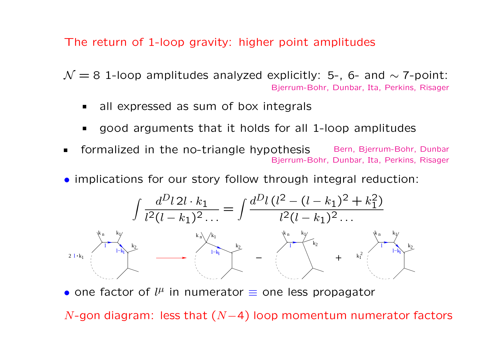The return of 1-loop gravity: higher point amplitudes

 $\mathcal{N} = 8$  1-loop amplitudes analyzed explicitly: 5-, 6- and  $\sim$  7-point: Bjerrum-Bohr, Dunbar, Ita, Perkins, Risager

- all expressed as sum of box integrals
- good arguments that it holds for all 1-loop amplitudes
- formalized in the no-triangle hypothesis Bern, Bjerrum-Bohr, Dunbar Bjerrum-Bohr, Dunbar, Ita, Perkins, Risager
- implications for our story follow through integral reduction:



• one factor of  $l^{\mu}$  in numerator  $\equiv$  one less propagator

N-gon diagram: less that  $(N-4)$  loop momentum numerator factors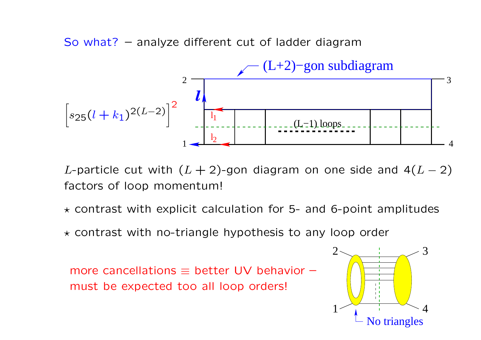So what? – analyze different cut of ladder diagram



L-particle cut with  $(L + 2)$ -gon diagram on one side and  $4(L - 2)$ factors of loop momentum!

- $\star$  contrast with explicit calculation for 5- and 6-point amplitudes
- $\star$  contrast with no-triangle hypothesis to any loop order

more cancellations  $\equiv$  better UV behavior – must be expected too all loop orders!

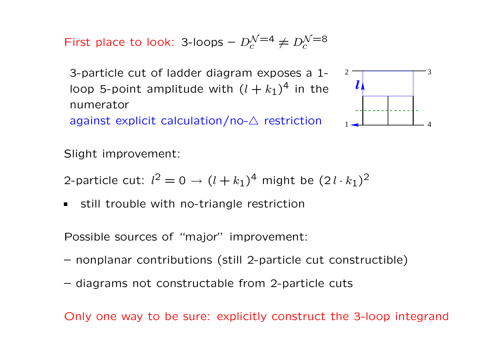First place to look: 3-loops  $-D_c^{\mathcal{N}=4} \neq D_c^{\mathcal{N}=8}$ 

3-particle cut of ladder diagram exposes a 1 loop 5-point amplitude with  $(l + k_1)^4$  in the numerator against explicit calculation/no- $\triangle$  restriction



Slight improvement:

2-particle cut:  $l^2=0 \rightarrow (l+k_1)^4$  might be  $(2\,l \cdot k_1)^2$ 

still trouble with no-triangle restriction

Possible sources of "major" improvement:

- nonplanar contributions (still 2-particle cut constructible)
- diagrams not constructable from 2-particle cuts

Only one way to be sure: explicitly construct the 3-loop integrand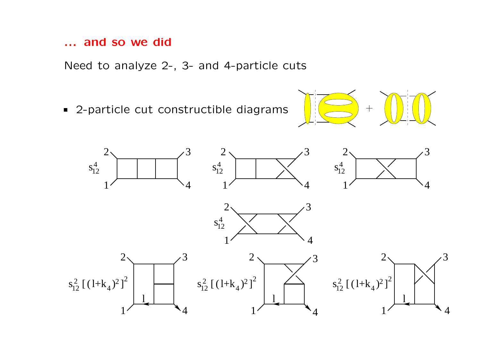#### ... and so we did

Need to analyze 2-, 3- and 4-particle cuts

■ 2-particle cut constructible diagrams



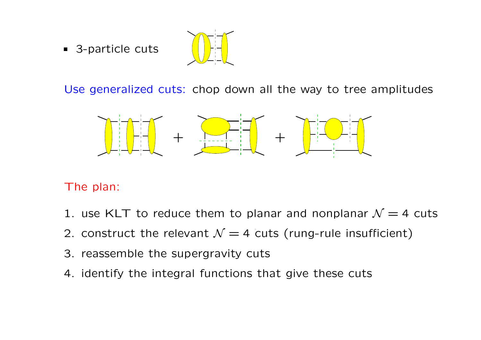■ 3-particle cuts



Use generalized cuts: chop down all the way to tree amplitudes



The plan:

- 1. use KLT to reduce them to planar and nonplanar  $\mathcal{N}=4$  cuts
- 2. construct the relevant  $\mathcal{N}=4$  cuts (rung-rule insufficient)
- 3. reassemble the supergravity cuts
- 4. identify the integral functions that give these cuts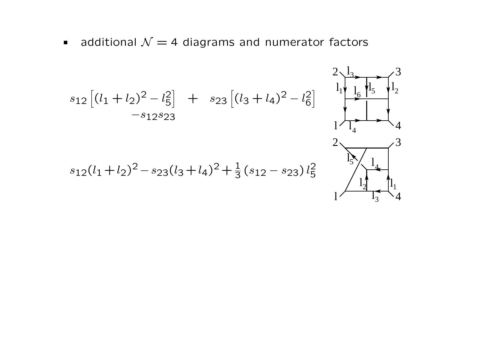additional  $\mathcal{N} = 4$  diagrams and numerator factors

$$
s_{12}\left[(l_{1} + l_{2})^{2} - l_{5}^{2}\right] + s_{23}\left[(l_{3} + l_{4})^{2} - l_{6}^{2}\right] + s_{12}s_{23}
$$
  
\n
$$
s_{12}(l_{1} + l_{2})^{2} - s_{23}(l_{3} + l_{4})^{2} + \frac{1}{3}(s_{12} - s_{23})l_{5}^{2}
$$
  
\n
$$
s_{12}(l_{1} + l_{2})^{2} - s_{23}(l_{3} + l_{4})^{2} + \frac{1}{3}(s_{12} - s_{23})l_{5}^{2}
$$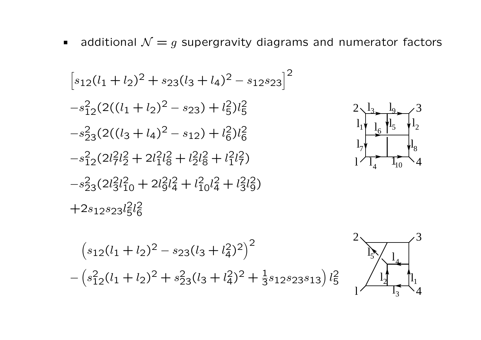additional  $\mathcal{N} = g$  supergravity diagrams and numerator factors  $\blacksquare$ 

$$
[s_{12}(l_{1} + l_{2})^{2} + s_{23}(l_{3} + l_{4})^{2} - s_{12}s_{23}]^{2}
$$
  
\n
$$
-s_{12}^{2}(2((l_{1} + l_{2})^{2} - s_{23}) + l_{5}^{2})l_{5}^{2}
$$
  
\n
$$
-s_{23}^{2}(2((l_{3} + l_{4})^{2} - s_{12}) + l_{6}^{2})l_{6}^{2}
$$
  
\n
$$
-s_{12}^{2}(2l_{7}^{2}l_{2}^{2} + 2l_{1}^{2}l_{8}^{2} + l_{2}^{2}l_{8}^{2} + l_{1}^{2}l_{7}^{2})
$$
  
\n
$$
-s_{23}^{2}(2l_{3}^{2}l_{10}^{2} + 2l_{9}^{2}l_{4}^{2} + l_{10}^{2}l_{4}^{2} + l_{3}^{2}l_{9}^{2})
$$
  
\n
$$
+2s_{12}s_{23}l_{5}^{2}l_{6}^{2}
$$

 $\overline{a}$ 

 $\overline{a}$ 

−



 $l_1$ 

 $\mathbf{l}_{7}$ 

l

 $\mathbf{l}_1$ 

 $\mathbf{l}_{8}$ 

4

4

 $l_6$  |  $l_5$  |  $l_2$ 

 $\overline{1}_{10}$ 

 $\frac{1}{5}$ 

 $\frac{1}{9}$ 

 $2\sqrt{3}$   $1$ <sub>9</sub>  $\angle$  3

6

 $\overline{l_4}$ 

 $\frac{1}{3}$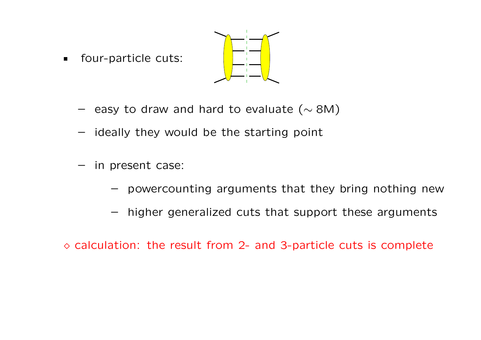four-particle cuts:  $\blacksquare$ 



- easy to draw and hard to evaluate ( $\sim$  8M)
- ideally they would be the starting point
- in present case:
	- powercounting arguments that they bring nothing new
	- higher generalized cuts that support these arguments

 $\circ$  calculation: the result from 2- and 3-particle cuts is complete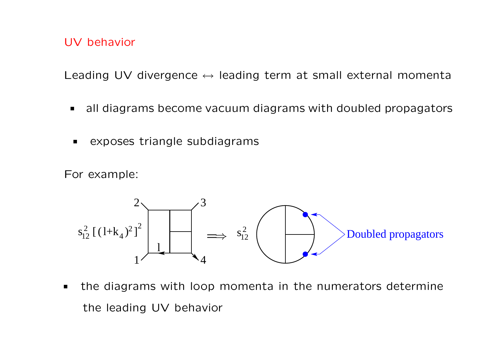### UV behavior

Leading UV divergence  $\leftrightarrow$  leading term at small external momenta

- all diagrams become vacuum diagrams with doubled propagators  $\blacksquare$
- exposes triangle subdiagrams  $\blacksquare$

For example:



the diagrams with loop momenta in the numerators determine the leading UV behavior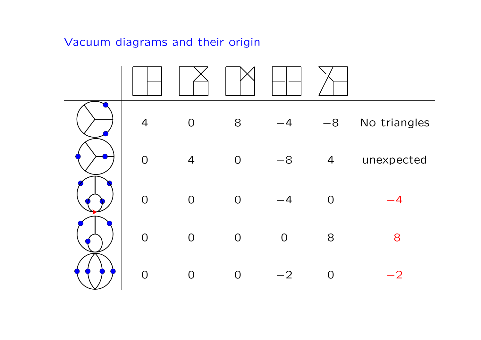## Vacuum diagrams and their origin

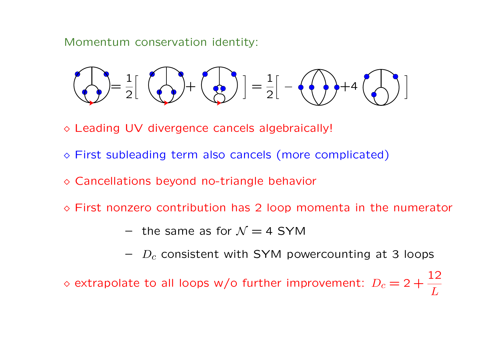Momentum conservation identity:

$$
\bigodot = \frac{1}{2} \left[ \bigodot + \bigodot \right] = \frac{1}{2} \left[ - \bigodot + 4 \bigodot \right]
$$

¦ Leading UV divergence cancels algebraically!

- ¦ First subleading term also cancels (more complicated)
- $\Diamond$  Cancellations beyond no-triangle behavior
- $\Diamond$  First nonzero contribution has 2 loop momenta in the numerator
	- the same as for  $\mathcal{N}=4$  SYM
	- $D_c$  consistent with SYM powercounting at 3 loops

 $\diamond$  extrapolate to all loops w/o further improvement:  $D_c = 2 +$ 12 L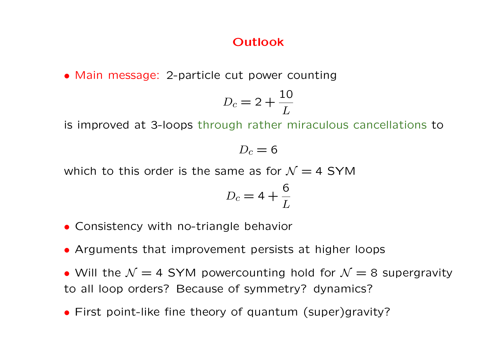## **Outlook**

• Main message: 2-particle cut power counting

$$
D_c = 2 + \frac{10}{L}
$$

is improved at 3-loops through rather miraculous cancellations to

 $D_c = 6$ 

which to this order is the same as for  $\mathcal{N} = 4$  SYM

$$
D_c = 4 + \frac{6}{L}
$$

- Consistency with no-triangle behavior
- Arguments that improvement persists at higher loops
- Will the  $\mathcal{N} = 4$  SYM powercounting hold for  $\mathcal{N} = 8$  supergravity to all loop orders? Because of symmetry? dynamics?
- First point-like fine theory of quantum (super)gravity?